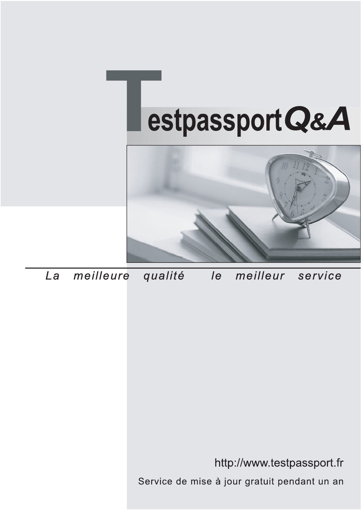



meilleure La qualité  $\overline{e}$ meilleur service

http://www.testpassport.fr

Service de mise à jour gratuit pendant un an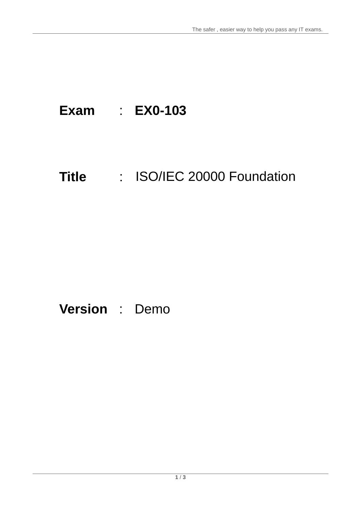## **Exam** : **EX0-103**

# **Title** : ISO/IEC 20000 Foundation

### **Version** : Demo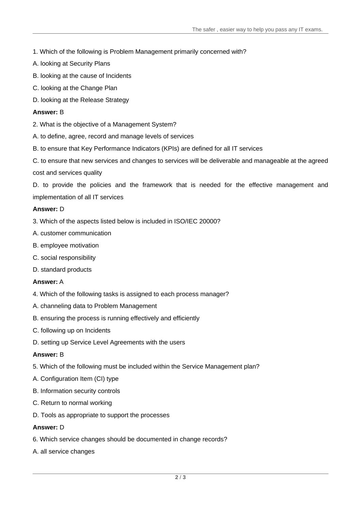- 1. Which of the following is Problem Management primarily concerned with?
- A. looking at Security Plans
- B. looking at the cause of Incidents
- C. looking at the Change Plan
- D. looking at the Release Strategy

#### **Answer:** B

- 2. What is the objective of a Management System?
- A. to define, agree, record and manage levels of services
- B. to ensure that Key Performance Indicators (KPIs) are defined for all IT services
- C. to ensure that new services and changes to services will be deliverable and manageable at the agreed cost and services quality

D. to provide the policies and the framework that is needed for the effective management and implementation of all IT services

#### **Answer:** D

- 3. Which of the aspects listed below is included in ISO/IEC 20000?
- A. customer communication
- B. employee motivation
- C. social responsibility
- D. standard products

#### **Answer:** A

- 4. Which of the following tasks is assigned to each process manager?
- A. channeling data to Problem Management
- B. ensuring the process is running effectively and efficiently
- C. following up on Incidents
- D. setting up Service Level Agreements with the users

#### **Answer:** B

- 5. Which of the following must be included within the Service Management plan?
- A. Configuration Item (CI) type
- B. Information security controls
- C. Return to normal working
- D. Tools as appropriate to support the processes

#### **Answer:** D

- 6. Which service changes should be documented in change records?
- A. all service changes